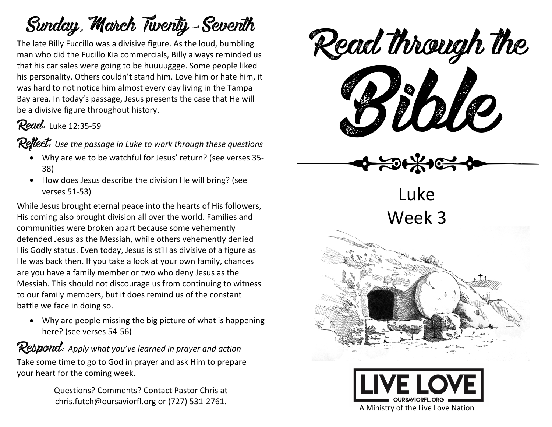## Sunday, March Twenty-Seventh

The late Billy Fuccillo was a divisive figure. As the loud, bumbling man who did the Fucillo Kia commercials, Billy always reminded us that his car sales were going to be huuuuggge. Some people liked his personality. Others couldn't stand him. Love him or hate him, it was hard to not notice him almost every day living in the Tampa Bay area. In today's passage, Jesus presents the case that He will be a divisive figure throughout history.

### Read: Luke 12:35-59

**Reflect:** Use the passage in Luke to work through these questions

- Why are we to be watchful for Jesus' return? (see verses 35- 38)
- How does Jesus describe the division He will bring? (see verses 51-53)

While Jesus brought eternal peace into the hearts of His followers, His coming also brought division all over the world. Families and communities were broken apart because some vehemently defended Jesus as the Messiah, while others vehemently denied His Godly status. Even today, Jesus is still as divisive of a figure as He was back then. If you take a look at your own family, chances are you have a family member or two who deny Jesus as the Messiah. This should not discourage us from continuing to witness to our family members, but it does remind us of the constant battle we face in doing so.

• Why are people missing the big picture of what is happening here? (see verses 54-56)

### Respond: *Apply what you've learned in prayer and action*

Take some time to go to God in prayer and ask Him to prepare your heart for the coming week.

> Questions? Comments? Contact Pastor Chris at chris.futch@oursaviorfl.org or (727) 531-2761.



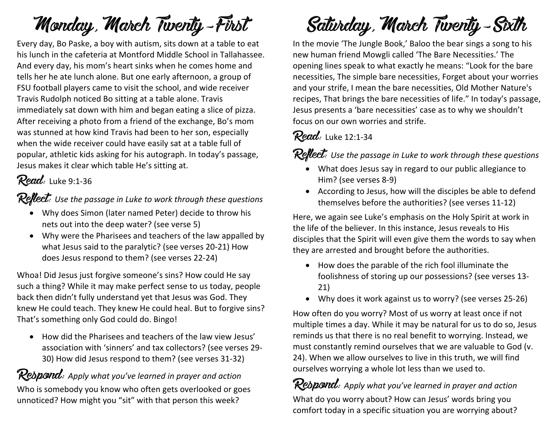# Monday, March Twenty-First

Every day, Bo Paske, a boy with autism, sits down at a table to eat his lunch in the cafeteria at Montford Middle School in Tallahassee. And every day, his mom's heart sinks when he comes home and tells her he ate lunch alone. But one early afternoon, a group of FSU football players came to visit the school, and wide receiver Travis Rudolph noticed Bo sitting at a table alone. Travis immediately sat down with him and began eating a slice of pizza. After receiving a photo from a friend of the exchange, Bo's mom was stunned at how kind Travis had been to her son, especially when the wide receiver could have easily sat at a table full of popular, athletic kids asking for his autograph. In today's passage, Jesus makes it clear which table He's sitting at.

### Read: Luke 9:1-36

Reflect: Use the passage in Luke to work through these questions

- Why does Simon (later named Peter) decide to throw his nets out into the deep water? (see verse 5)
- Why were the Pharisees and teachers of the law appalled by what Jesus said to the paralytic? (see verses 20-21) How does Jesus respond to them? (see verses 22-24)

Whoa! Did Jesus just forgive someone's sins? How could He say such a thing? While it may make perfect sense to us today, people back then didn't fully understand yet that Jesus was God. They knew He could teach. They knew He could heal. But to forgive sins? That's something only God could do. Bingo!

• How did the Pharisees and teachers of the law view Jesus' association with 'sinners' and tax collectors? (see verses 29- 30) How did Jesus respond to them? (see verses 31-32)

#### **Respond:** Apply what you've learned in prayer and action

Who is somebody you know who often gets overlooked or goes unnoticed? How might you "sit" with that person this week?

# Saturday, March Twenty-Sixth

In the movie 'The Jungle Book,' Baloo the bear sings a song to his new human friend Mowgli called 'The Bare Necessities.' The opening lines speak to what exactly he means: "Look for the bare necessities, The simple bare necessities, Forget about your worries and your strife, I mean the bare necessities, Old Mother Nature's recipes, That brings the bare necessities of life." In today's passage, Jesus presents a 'bare necessities' case as to why we shouldn't focus on our own worries and strife.

#### **Read:** Luke 12:1-34

Reflect: Use the passage in Luke to work through these questions

- What does Jesus say in regard to our public allegiance to Him? (see verses 8-9)
- According to Jesus, how will the disciples be able to defend themselves before the authorities? (see verses 11-12)

Here, we again see Luke's emphasis on the Holy Spirit at work in the life of the believer. In this instance, Jesus reveals to His disciples that the Spirit will even give them the words to say when they are arrested and brought before the authorities.

- How does the parable of the rich fool illuminate the foolishness of storing up our possessions? (see verses 13- 21)
- Why does it work against us to worry? (see verses 25-26)

How often do you worry? Most of us worry at least once if not multiple times a day. While it may be natural for us to do so, Jesus reminds us that there is no real benefit to worrying. Instead, we must constantly remind ourselves that we are valuable to God (v. 24). When we allow ourselves to live in this truth, we will find ourselves worrying a whole lot less than we used to.

Respond: *Apply what you've learned in prayer and action* What do you worry about? How can Jesus' words bring you comfort today in a specific situation you are worrying about?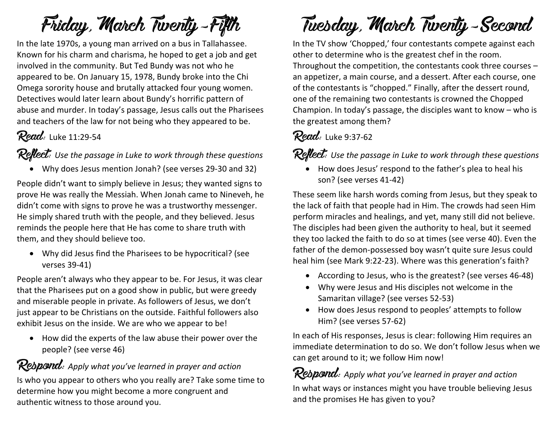# Friday, March Twenty-Fifth

In the late 1970s, a young man arrived on a bus in Tallahassee. Known for his charm and charisma, he hoped to get a job and get involved in the community. But Ted Bundy was not who he appeared to be. On January 15, 1978, Bundy broke into the Chi Omega sorority house and brutally attacked four young women. Detectives would later learn about Bundy's horrific pattern of abuse and murder. In today's passage, Jesus calls out the Pharisees and teachers of the law for not being who they appeared to be.

### Read: Luke 11:29-54

Reflect: *Use the passage in Luke to work through these questions*

• Why does Jesus mention Jonah? (see verses 29-30 and 32)

People didn't want to simply believe in Jesus; they wanted signs to prove He was really the Messiah. When Jonah came to Nineveh, he didn't come with signs to prove he was a trustworthy messenger. He simply shared truth with the people, and they believed. Jesus reminds the people here that He has come to share truth with them, and they should believe too.

• Why did Jesus find the Pharisees to be hypocritical? (see verses 39-41)

People aren't always who they appear to be. For Jesus, it was clear that the Pharisees put on a good show in public, but were greedy and miserable people in private. As followers of Jesus, we don't just appear to be Christians on the outside. Faithful followers also exhibit Jesus on the inside. We are who we appear to be!

• How did the experts of the law abuse their power over the people? (see verse 46)

#### Rebpond: Apply what you've learned in prayer and action

Is who you appear to others who you really are? Take some time to determine how you might become a more congruent and authentic witness to those around you.

# Tuesday, March Twenty-Second

In the TV show 'Chopped,' four contestants compete against each other to determine who is the greatest chef in the room. Throughout the competition, the contestants cook three courses – an appetizer, a main course, and a dessert. After each course, one of the contestants is "chopped." Finally, after the dessert round, one of the remaining two contestants is crowned the Chopped Champion. In today's passage, the disciples want to know – who is the greatest among them?

#### **Read:** Luke 9:37-62

Reflect: Use the passage in Luke to work through these questions

• How does Jesus' respond to the father's plea to heal his son? (see verses 41-42)

These seem like harsh words coming from Jesus, but they speak to the lack of faith that people had in Him. The crowds had seen Him perform miracles and healings, and yet, many still did not believe. The disciples had been given the authority to heal, but it seemed they too lacked the faith to do so at times (see verse 40). Even the father of the demon-possessed boy wasn't quite sure Jesus could heal him (see Mark 9:22-23). Where was this generation's faith?

- According to Jesus, who is the greatest? (see verses 46-48)
- Why were Jesus and His disciples not welcome in the Samaritan village? (see verses 52-53)
- How does Jesus respond to peoples' attempts to follow Him? (see verses 57-62)

In each of His responses, Jesus is clear: following Him requires an immediate determination to do so. We don't follow Jesus when we can get around to it; we follow Him now!

Respond: Apply what you've learned in prayer and action In what ways or instances might you have trouble believing Jesus and the promises He has given to you?